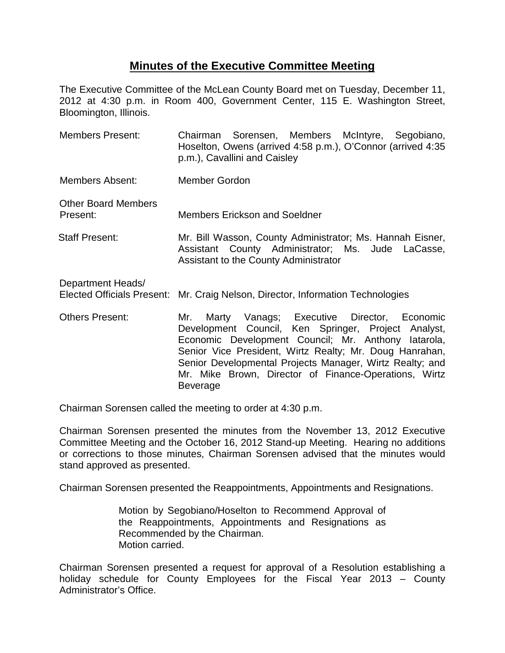## **Minutes of the Executive Committee Meeting**

The Executive Committee of the McLean County Board met on Tuesday, December 11, 2012 at 4:30 p.m. in Room 400, Government Center, 115 E. Washington Street, Bloomington, Illinois.

- Members Present: Chairman Sorensen, Members McIntyre, Segobiano, Hoselton, Owens (arrived 4:58 p.m.), O'Connor (arrived 4:35 p.m.), Cavallini and Caisley Members Absent: Member Gordon Other Board Members Present: Members Erickson and Soeldner Staff Present: Mr. Bill Wasson, County Administrator; Ms. Hannah Eisner, Assistant County Administrator; Ms. Jude LaCasse, Assistant to the County Administrator Department Heads/ Elected Officials Present: Mr. Craig Nelson, Director, Information Technologies Others Present: Mr. Marty Vanags; Executive Director, Economic Development Council, Ken Springer, Project Analyst,
- Economic Development Council; Mr. Anthony Iatarola, Senior Vice President, Wirtz Realty; Mr. Doug Hanrahan, Senior Developmental Projects Manager, Wirtz Realty; and Mr. Mike Brown, Director of Finance-Operations, Wirtz Beverage

Chairman Sorensen called the meeting to order at 4:30 p.m.

Chairman Sorensen presented the minutes from the November 13, 2012 Executive Committee Meeting and the October 16, 2012 Stand-up Meeting. Hearing no additions or corrections to those minutes, Chairman Sorensen advised that the minutes would stand approved as presented.

Chairman Sorensen presented the Reappointments, Appointments and Resignations.

Motion by Segobiano/Hoselton to Recommend Approval of the Reappointments, Appointments and Resignations as Recommended by the Chairman. Motion carried.

Chairman Sorensen presented a request for approval of a Resolution establishing a holiday schedule for County Employees for the Fiscal Year 2013 – County Administrator's Office.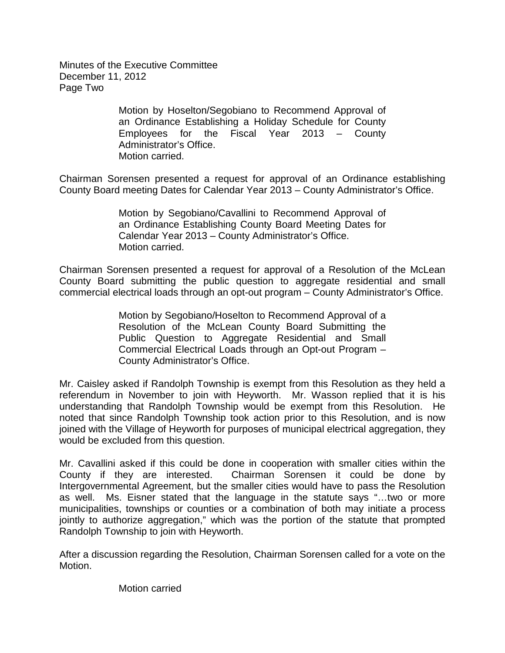Minutes of the Executive Committee December 11, 2012 Page Two

> Motion by Hoselton/Segobiano to Recommend Approval of an Ordinance Establishing a Holiday Schedule for County Employees for the Fiscal Year 2013 – County Administrator's Office. Motion carried.

Chairman Sorensen presented a request for approval of an Ordinance establishing County Board meeting Dates for Calendar Year 2013 – County Administrator's Office.

> Motion by Segobiano/Cavallini to Recommend Approval of an Ordinance Establishing County Board Meeting Dates for Calendar Year 2013 – County Administrator's Office. Motion carried.

Chairman Sorensen presented a request for approval of a Resolution of the McLean County Board submitting the public question to aggregate residential and small commercial electrical loads through an opt-out program – County Administrator's Office.

> Motion by Segobiano/Hoselton to Recommend Approval of a Resolution of the McLean County Board Submitting the Public Question to Aggregate Residential and Small Commercial Electrical Loads through an Opt-out Program – County Administrator's Office.

Mr. Caisley asked if Randolph Township is exempt from this Resolution as they held a referendum in November to join with Heyworth. Mr. Wasson replied that it is his understanding that Randolph Township would be exempt from this Resolution. He noted that since Randolph Township took action prior to this Resolution, and is now joined with the Village of Heyworth for purposes of municipal electrical aggregation, they would be excluded from this question.

Mr. Cavallini asked if this could be done in cooperation with smaller cities within the County if they are interested. Chairman Sorensen it could be done by Intergovernmental Agreement, but the smaller cities would have to pass the Resolution as well. Ms. Eisner stated that the language in the statute says "…two or more municipalities, townships or counties or a combination of both may initiate a process jointly to authorize aggregation," which was the portion of the statute that prompted Randolph Township to join with Heyworth.

After a discussion regarding the Resolution, Chairman Sorensen called for a vote on the Motion.

Motion carried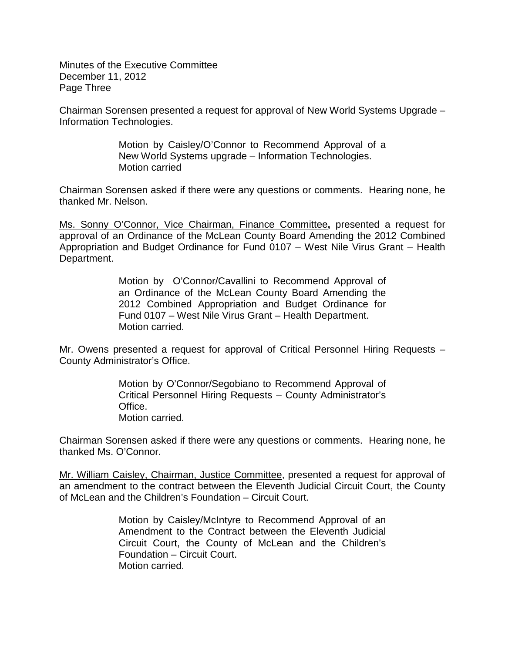Minutes of the Executive Committee December 11, 2012 Page Three

Chairman Sorensen presented a request for approval of New World Systems Upgrade – Information Technologies.

> Motion by Caisley/O'Connor to Recommend Approval of a New World Systems upgrade – Information Technologies. Motion carried

Chairman Sorensen asked if there were any questions or comments. Hearing none, he thanked Mr. Nelson.

Ms. Sonny O'Connor, Vice Chairman, Finance Committee**,** presented a request for approval of an Ordinance of the McLean County Board Amending the 2012 Combined Appropriation and Budget Ordinance for Fund 0107 – West Nile Virus Grant – Health Department.

> Motion by O'Connor/Cavallini to Recommend Approval of an Ordinance of the McLean County Board Amending the 2012 Combined Appropriation and Budget Ordinance for Fund 0107 – West Nile Virus Grant – Health Department. Motion carried.

Mr. Owens presented a request for approval of Critical Personnel Hiring Requests – County Administrator's Office.

> Motion by O'Connor/Segobiano to Recommend Approval of Critical Personnel Hiring Requests – County Administrator's Office. Motion carried.

Chairman Sorensen asked if there were any questions or comments. Hearing none, he thanked Ms. O'Connor.

Mr. William Caisley, Chairman, Justice Committee, presented a request for approval of an amendment to the contract between the Eleventh Judicial Circuit Court, the County of McLean and the Children's Foundation – Circuit Court.

> Motion by Caisley/McIntyre to Recommend Approval of an Amendment to the Contract between the Eleventh Judicial Circuit Court, the County of McLean and the Children's Foundation – Circuit Court. Motion carried.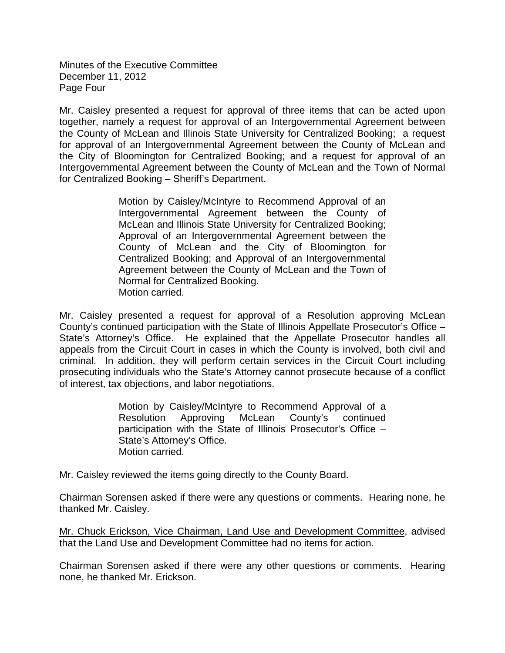Minutes of the Executive Committee December 11, 2012 Page Four

Mr. Caisley presented a request for approval of three items that can be acted upon together, namely a request for approval of an Intergovernmental Agreement between the County of McLean and Illinois State University for Centralized Booking; a request for approval of an Intergovernmental Agreement between the County of McLean and the City of Bloomington for Centralized Booking; and a request for approval of an Intergovernmental Agreement between the County of McLean and the Town of Normal for Centralized Booking – Sheriff's Department.

> Motion by Caisley/McIntyre to Recommend Approval of an Intergovernmental Agreement between the County of McLean and Illinois State University for Centralized Booking; Approval of an Intergovernmental Agreement between the County of McLean and the City of Bloomington for Centralized Booking; and Approval of an Intergovernmental Agreement between the County of McLean and the Town of Normal for Centralized Booking. Motion carried.

Mr. Caisley presented a request for approval of a Resolution approving McLean County's continued participation with the State of Illinois Appellate Prosecutor's Office – State's Attorney's Office. He explained that the Appellate Prosecutor handles all appeals from the Circuit Court in cases in which the County is involved, both civil and criminal. In addition, they will perform certain services in the Circuit Court including prosecuting individuals who the State's Attorney cannot prosecute because of a conflict of interest, tax objections, and labor negotiations.

> Motion by Caisley/McIntyre to Recommend Approval of a Resolution Approving McLean County's continued participation with the State of Illinois Prosecutor's Office – State's Attorney's Office. Motion carried.

Mr. Caisley reviewed the items going directly to the County Board.

Chairman Sorensen asked if there were any questions or comments. Hearing none, he thanked Mr. Caisley.

Mr. Chuck Erickson, Vice Chairman, Land Use and Development Committee, advised that the Land Use and Development Committee had no items for action.

Chairman Sorensen asked if there were any other questions or comments. Hearing none, he thanked Mr. Erickson.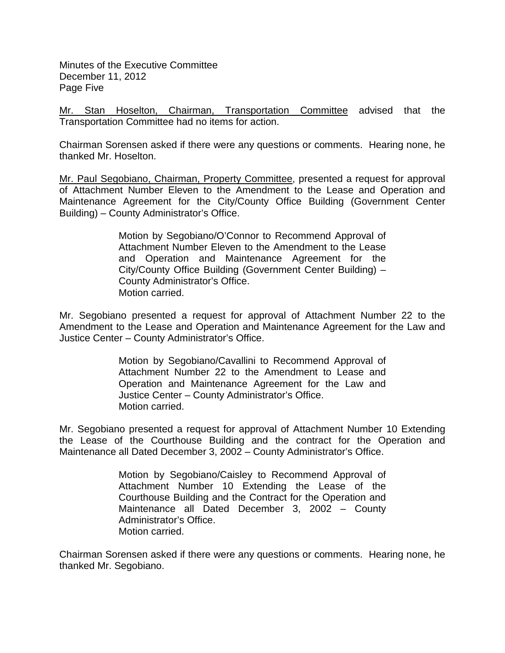Minutes of the Executive Committee December 11, 2012 Page Five

Mr. Stan Hoselton, Chairman, Transportation Committee advised that the Transportation Committee had no items for action.

Chairman Sorensen asked if there were any questions or comments. Hearing none, he thanked Mr. Hoselton.

Mr. Paul Segobiano, Chairman, Property Committee, presented a request for approval of Attachment Number Eleven to the Amendment to the Lease and Operation and Maintenance Agreement for the City/County Office Building (Government Center Building) – County Administrator's Office.

> Motion by Segobiano/O'Connor to Recommend Approval of Attachment Number Eleven to the Amendment to the Lease and Operation and Maintenance Agreement for the City/County Office Building (Government Center Building) – County Administrator's Office. Motion carried.

Mr. Segobiano presented a request for approval of Attachment Number 22 to the Amendment to the Lease and Operation and Maintenance Agreement for the Law and Justice Center – County Administrator's Office.

> Motion by Segobiano/Cavallini to Recommend Approval of Attachment Number 22 to the Amendment to Lease and Operation and Maintenance Agreement for the Law and Justice Center – County Administrator's Office. Motion carried.

Mr. Segobiano presented a request for approval of Attachment Number 10 Extending the Lease of the Courthouse Building and the contract for the Operation and Maintenance all Dated December 3, 2002 – County Administrator's Office.

> Motion by Segobiano/Caisley to Recommend Approval of Attachment Number 10 Extending the Lease of the Courthouse Building and the Contract for the Operation and Maintenance all Dated December 3, 2002 – County Administrator's Office. Motion carried.

Chairman Sorensen asked if there were any questions or comments. Hearing none, he thanked Mr. Segobiano.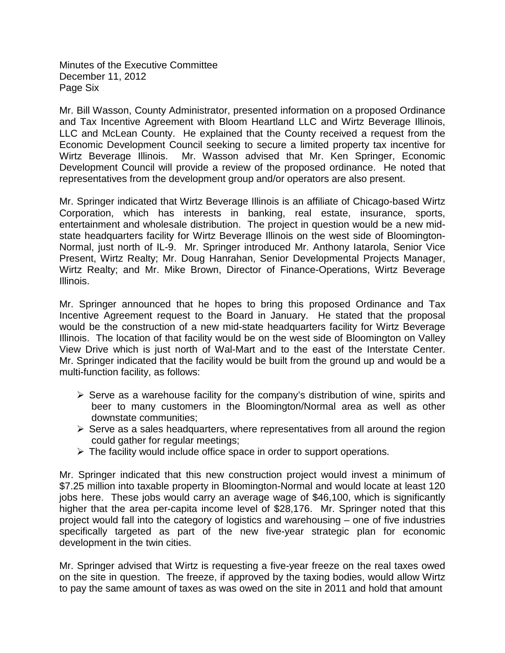Minutes of the Executive Committee December 11, 2012 Page Six

Mr. Bill Wasson, County Administrator, presented information on a proposed Ordinance and Tax Incentive Agreement with Bloom Heartland LLC and Wirtz Beverage Illinois, LLC and McLean County. He explained that the County received a request from the Economic Development Council seeking to secure a limited property tax incentive for Wirtz Beverage Illinois. Mr. Wasson advised that Mr. Ken Springer, Economic Development Council will provide a review of the proposed ordinance. He noted that representatives from the development group and/or operators are also present.

Mr. Springer indicated that Wirtz Beverage Illinois is an affiliate of Chicago-based Wirtz Corporation, which has interests in banking, real estate, insurance, sports, entertainment and wholesale distribution. The project in question would be a new midstate headquarters facility for Wirtz Beverage Illinois on the west side of Bloomington-Normal, just north of IL-9. Mr. Springer introduced Mr. Anthony Iatarola, Senior Vice Present, Wirtz Realty; Mr. Doug Hanrahan, Senior Developmental Projects Manager, Wirtz Realty; and Mr. Mike Brown, Director of Finance-Operations, Wirtz Beverage Illinois.

Mr. Springer announced that he hopes to bring this proposed Ordinance and Tax Incentive Agreement request to the Board in January. He stated that the proposal would be the construction of a new mid-state headquarters facility for Wirtz Beverage Illinois. The location of that facility would be on the west side of Bloomington on Valley View Drive which is just north of Wal-Mart and to the east of the Interstate Center. Mr. Springer indicated that the facility would be built from the ground up and would be a multi-function facility, as follows:

- $\triangleright$  Serve as a warehouse facility for the company's distribution of wine, spirits and beer to many customers in the Bloomington/Normal area as well as other downstate communities;
- $\triangleright$  Serve as a sales headquarters, where representatives from all around the region could gather for regular meetings;
- $\triangleright$  The facility would include office space in order to support operations.

Mr. Springer indicated that this new construction project would invest a minimum of \$7.25 million into taxable property in Bloomington-Normal and would locate at least 120 jobs here. These jobs would carry an average wage of \$46,100, which is significantly higher that the area per-capita income level of \$28,176. Mr. Springer noted that this project would fall into the category of logistics and warehousing – one of five industries specifically targeted as part of the new five-year strategic plan for economic development in the twin cities.

Mr. Springer advised that Wirtz is requesting a five-year freeze on the real taxes owed on the site in question. The freeze, if approved by the taxing bodies, would allow Wirtz to pay the same amount of taxes as was owed on the site in 2011 and hold that amount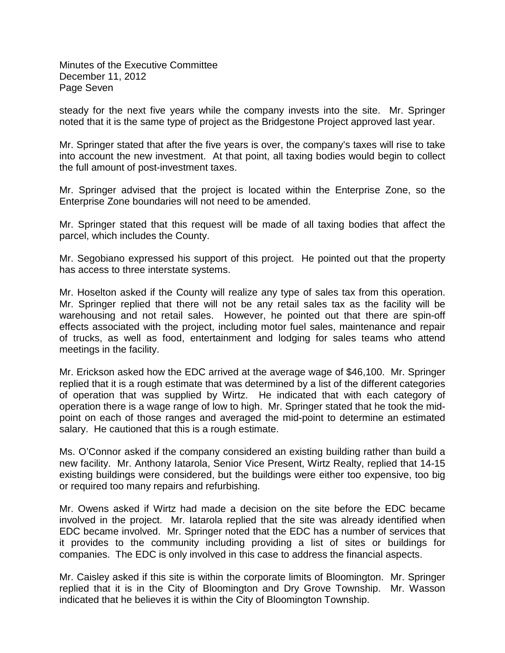Minutes of the Executive Committee December 11, 2012 Page Seven

steady for the next five years while the company invests into the site. Mr. Springer noted that it is the same type of project as the Bridgestone Project approved last year.

Mr. Springer stated that after the five years is over, the company's taxes will rise to take into account the new investment. At that point, all taxing bodies would begin to collect the full amount of post-investment taxes.

Mr. Springer advised that the project is located within the Enterprise Zone, so the Enterprise Zone boundaries will not need to be amended.

Mr. Springer stated that this request will be made of all taxing bodies that affect the parcel, which includes the County.

Mr. Segobiano expressed his support of this project. He pointed out that the property has access to three interstate systems.

Mr. Hoselton asked if the County will realize any type of sales tax from this operation. Mr. Springer replied that there will not be any retail sales tax as the facility will be warehousing and not retail sales. However, he pointed out that there are spin-off effects associated with the project, including motor fuel sales, maintenance and repair of trucks, as well as food, entertainment and lodging for sales teams who attend meetings in the facility.

Mr. Erickson asked how the EDC arrived at the average wage of \$46,100. Mr. Springer replied that it is a rough estimate that was determined by a list of the different categories of operation that was supplied by Wirtz. He indicated that with each category of operation there is a wage range of low to high. Mr. Springer stated that he took the midpoint on each of those ranges and averaged the mid-point to determine an estimated salary. He cautioned that this is a rough estimate.

Ms. O'Connor asked if the company considered an existing building rather than build a new facility. Mr. Anthony Iatarola, Senior Vice Present, Wirtz Realty, replied that 14-15 existing buildings were considered, but the buildings were either too expensive, too big or required too many repairs and refurbishing.

Mr. Owens asked if Wirtz had made a decision on the site before the EDC became involved in the project. Mr. Iatarola replied that the site was already identified when EDC became involved. Mr. Springer noted that the EDC has a number of services that it provides to the community including providing a list of sites or buildings for companies. The EDC is only involved in this case to address the financial aspects.

Mr. Caisley asked if this site is within the corporate limits of Bloomington. Mr. Springer replied that it is in the City of Bloomington and Dry Grove Township. Mr. Wasson indicated that he believes it is within the City of Bloomington Township.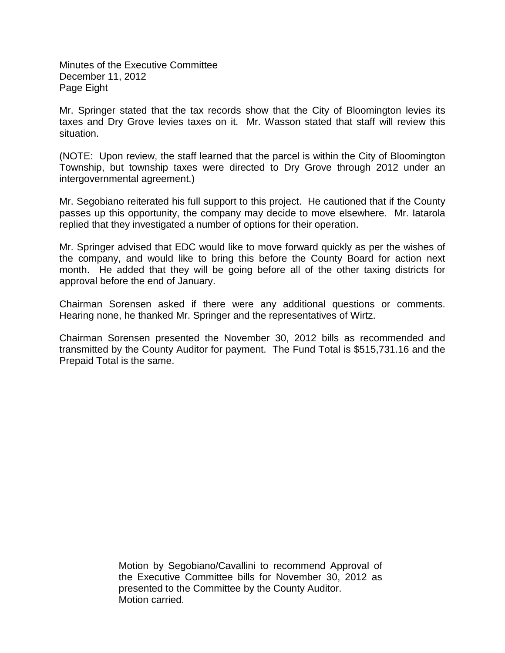Minutes of the Executive Committee December 11, 2012 Page Eight

Mr. Springer stated that the tax records show that the City of Bloomington levies its taxes and Dry Grove levies taxes on it. Mr. Wasson stated that staff will review this situation.

(NOTE: Upon review, the staff learned that the parcel is within the City of Bloomington Township, but township taxes were directed to Dry Grove through 2012 under an intergovernmental agreement.)

Mr. Segobiano reiterated his full support to this project. He cautioned that if the County passes up this opportunity, the company may decide to move elsewhere. Mr. Iatarola replied that they investigated a number of options for their operation.

Mr. Springer advised that EDC would like to move forward quickly as per the wishes of the company, and would like to bring this before the County Board for action next month. He added that they will be going before all of the other taxing districts for approval before the end of January.

Chairman Sorensen asked if there were any additional questions or comments. Hearing none, he thanked Mr. Springer and the representatives of Wirtz.

Chairman Sorensen presented the November 30, 2012 bills as recommended and transmitted by the County Auditor for payment. The Fund Total is \$515,731.16 and the Prepaid Total is the same.

> Motion by Segobiano/Cavallini to recommend Approval of the Executive Committee bills for November 30, 2012 as presented to the Committee by the County Auditor. Motion carried.